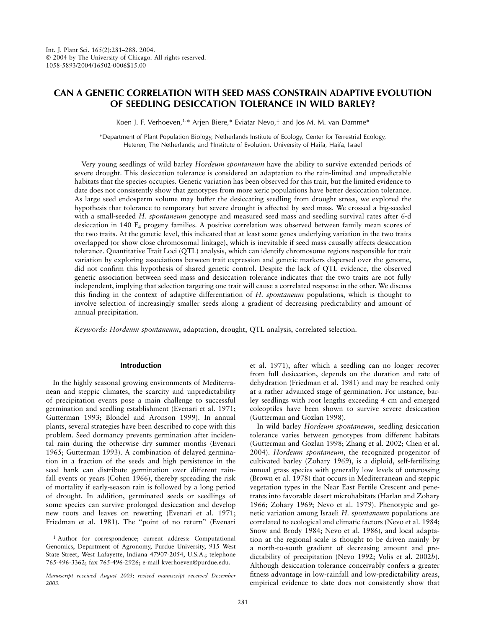# CAN A GENETIC CORRELATION WITH SEED MASS CONSTRAIN ADAPTIVE EVOLUTION OF SEEDLING DESICCATION TOLERANCE IN WILD BARLEY?

Koen J. F. Verhoeven,<sup>1,\*</sup> Arjen Biere,\* Eviatar Nevo,t and Jos M. M. van Damme\*

\*Department of Plant Population Biology, Netherlands Institute of Ecology, Center for Terrestrial Ecology, Heteren, The Netherlands; and †Institute of Evolution, University of Haifa, Haifa, Israel

Very young seedlings of wild barley Hordeum spontaneum have the ability to survive extended periods of severe drought. This desiccation tolerance is considered an adaptation to the rain-limited and unpredictable habitats that the species occupies. Genetic variation has been observed for this trait, but the limited evidence to date does not consistently show that genotypes from more xeric populations have better desiccation tolerance. As large seed endosperm volume may buffer the desiccating seedling from drought stress, we explored the hypothesis that tolerance to temporary but severe drought is affected by seed mass. We crossed a big-seeded with a small-seeded H. spontaneum genotype and measured seed mass and seedling survival rates after 6-d desiccation in 140 F4 progeny families. A positive correlation was observed between family mean scores of the two traits. At the genetic level, this indicated that at least some genes underlying variation in the two traits overlapped (or show close chromosomal linkage), which is inevitable if seed mass causally affects desiccation tolerance. Quantitative Trait Loci (QTL) analysis, which can identify chromosome regions responsible for trait variation by exploring associations between trait expression and genetic markers dispersed over the genome, did not confirm this hypothesis of shared genetic control. Despite the lack of QTL evidence, the observed genetic association between seed mass and desiccation tolerance indicates that the two traits are not fully independent, implying that selection targeting one trait will cause a correlated response in the other. We discuss this finding in the context of adaptive differentiation of H. *spontaneum* populations, which is thought to involve selection of increasingly smaller seeds along a gradient of decreasing predictability and amount of annual precipitation.

Keywords: Hordeum spontaneum, adaptation, drought, QTL analysis, correlated selection.

## Introduction

In the highly seasonal growing environments of Mediterranean and steppic climates, the scarcity and unpredictability of precipitation events pose a main challenge to successful germination and seedling establishment (Evenari et al. 1971; Gutterman 1993; Blondel and Aronson 1999). In annual plants, several strategies have been described to cope with this problem. Seed dormancy prevents germination after incidental rain during the otherwise dry summer months (Evenari 1965; Gutterman 1993). A combination of delayed germination in a fraction of the seeds and high persistence in the seed bank can distribute germination over different rainfall events or years (Cohen 1966), thereby spreading the risk of mortality if early-season rain is followed by a long period of drought. In addition, germinated seeds or seedlings of some species can survive prolonged desiccation and develop new roots and leaves on rewetting (Evenari et al. 1971; Friedman et al. 1981). The "point of no return" (Evenari

<sup>1</sup> Author for correspondence; current address: Computational Genomics, Department of Agronomy, Purdue University, 915 West State Street, West Lafayette, Indiana 47907-2054, U.S.A.; telephone 765-496-3362; fax 765-496-2926; e-mail kverhoeven@purdue.edu.

Manuscript received August 2003; revised manuscript received December 2003.

et al. 1971), after which a seedling can no longer recover from full desiccation, depends on the duration and rate of dehydration (Friedman et al. 1981) and may be reached only at a rather advanced stage of germination. For instance, barley seedlings with root lengths exceeding 4 cm and emerged coleoptiles have been shown to survive severe desiccation (Gutterman and Gozlan 1998).

In wild barley Hordeum spontaneum, seedling desiccation tolerance varies between genotypes from different habitats (Gutterman and Gozlan 1998; Zhang et al. 2002; Chen et al. 2004). Hordeum spontaneum, the recognized progenitor of cultivated barley (Zohary 1969), is a diploid, self-fertilizing annual grass species with generally low levels of outcrossing (Brown et al. 1978) that occurs in Mediterranean and steppic vegetation types in the Near East Fertile Crescent and penetrates into favorable desert microhabitats (Harlan and Zohary 1966; Zohary 1969; Nevo et al. 1979). Phenotypic and genetic variation among Israeli H. spontaneum populations are correlated to ecological and climatic factors (Nevo et al. 1984; Snow and Brody 1984; Nevo et al. 1986), and local adaptation at the regional scale is thought to be driven mainly by a north-to-south gradient of decreasing amount and predictability of precipitation (Nevo 1992; Volis et al. 2002b). Although desiccation tolerance conceivably confers a greater fitness advantage in low-rainfall and low-predictability areas, empirical evidence to date does not consistently show that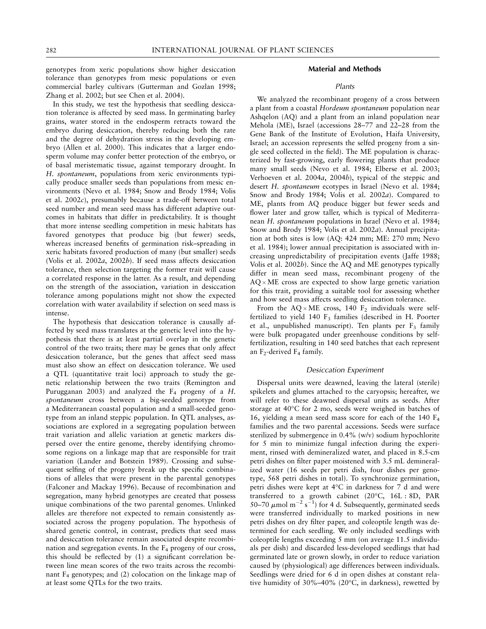genotypes from xeric populations show higher desiccation tolerance than genotypes from mesic populations or even commercial barley cultivars (Gutterman and Gozlan 1998; Zhang et al. 2002; but see Chen et al. 2004).

In this study, we test the hypothesis that seedling desiccation tolerance is affected by seed mass. In germinating barley grains, water stored in the endosperm retracts toward the embryo during desiccation, thereby reducing both the rate and the degree of dehydration stress in the developing embryo (Allen et al. 2000). This indicates that a larger endosperm volume may confer better protection of the embryo, or of basal meristematic tissue, against temporary drought. In H. spontaneum, populations from xeric environments typically produce smaller seeds than populations from mesic environments (Nevo et al. 1984; Snow and Brody 1984; Volis et al. 2002c), presumably because a trade-off between total seed number and mean seed mass has different adaptive outcomes in habitats that differ in predictability. It is thought that more intense seedling competition in mesic habitats has favored genotypes that produce big (but fewer) seeds, whereas increased benefits of germination risk–spreading in xeric habitats favored production of many (but smaller) seeds (Volis et al. 2002a, 2002b). If seed mass affects desiccation tolerance, then selection targeting the former trait will cause a correlated response in the latter. As a result, and depending on the strength of the association, variation in desiccation tolerance among populations might not show the expected correlation with water availability if selection on seed mass is intense.

The hypothesis that desiccation tolerance is causally affected by seed mass translates at the genetic level into the hypothesis that there is at least partial overlap in the genetic control of the two traits; there may be genes that only affect desiccation tolerance, but the genes that affect seed mass must also show an effect on desiccation tolerance. We used a QTL (quantitative trait loci) approach to study the genetic relationship between the two traits (Remington and Purugganan 2003) and analyzed the  $F_4$  progeny of a H. spontaneum cross between a big-seeded genotype from a Mediterranean coastal population and a small-seeded genotype from an inland steppic population. In QTL analyses, associations are explored in a segregating population between trait variation and allelic variation at genetic markers dispersed over the entire genome, thereby identifying chromosome regions on a linkage map that are responsible for trait variation (Lander and Botstein 1989). Crossing and subsequent selfing of the progeny break up the specific combinations of alleles that were present in the parental genotypes (Falconer and Mackay 1996). Because of recombination and segregation, many hybrid genotypes are created that possess unique combinations of the two parental genomes. Unlinked alleles are therefore not expected to remain consistently associated across the progeny population. The hypothesis of shared genetic control, in contrast, predicts that seed mass and desiccation tolerance remain associated despite recombination and segregation events. In the  $F_4$  progeny of our cross, this should be reflected by (1) a significant correlation between line mean scores of the two traits across the recombinant  $F_4$  genotypes; and (2) colocation on the linkage map of at least some QTLs for the two traits.

## Material and Methods

#### Plants

We analyzed the recombinant progeny of a cross between a plant from a coastal Hordeum spontaneum population near Ashqelon (AQ) and a plant from an inland population near Mehola (ME), Israel (accessions 28–77 and 22–28 from the Gene Bank of the Institute of Evolution, Haifa University, Israel; an accession represents the selfed progeny from a single seed collected in the field). The ME population is characterized by fast-growing, early flowering plants that produce many small seeds (Nevo et al. 1984; Elberse et al. 2003; Verhoeven et al. 2004a, 2004b), typical of the steppic and desert H. spontaneum ecotypes in Israel (Nevo et al. 1984; Snow and Brody 1984; Volis et al. 2002a). Compared to ME, plants from AQ produce bigger but fewer seeds and flower later and grow taller, which is typical of Mediterranean H. spontaneum populations in Israel (Nevo et al. 1984; Snow and Brody 1984; Volis et al. 2002a). Annual precipitation at both sites is low (AQ: 424 mm; ME: 270 mm; Nevo et al. 1984); lower annual precipitation is associated with increasing unpredictability of precipitation events (Jaffe 1988; Volis et al. 2002b). Since the AQ and ME genotypes typically differ in mean seed mass, recombinant progeny of the  $AQ \times ME$  cross are expected to show large genetic variation for this trait, providing a suitable tool for assessing whether and how seed mass affects seedling desiccation tolerance.

From the AQ  $\times$  ME cross, 140 F<sub>2</sub> individuals were selffertilized to yield  $140 \text{ F}_3$  families (described in H. Poorter et al., unpublished manuscript). Ten plants per  $F_3$  family were bulk propagated under greenhouse conditions by selffertilization, resulting in 140 seed batches that each represent an  $F_2$ -derived  $F_4$  family.

#### Desiccation Experiment

Dispersal units were deawned, leaving the lateral (sterile) spikelets and glumes attached to the caryopsis; hereafter, we will refer to these deawned dispersal units as seeds. After storage at 40°C for 2 mo, seeds were weighed in batches of 16, yielding a mean seed mass score for each of the 140 F4 families and the two parental accessions. Seeds were surface sterilized by submergence in 0.4% (w/v) sodium hypochlorite for 5 min to minimize fungal infection during the experiment, rinsed with demineralized water, and placed in 8.5-cm petri dishes on filter paper moistened with 3.5 mL demineralized water (16 seeds per petri dish, four dishes per genotype, 568 petri dishes in total). To synchronize germination, petri dishes were kept at 4°C in darkness for 7 d and were transferred to a growth cabinet (20°C, 16L: 8D, PAR 50–70  $\mu$ mol m<sup>-2</sup> s<sup>-1</sup>) for 4 d. Subsequently, germinated seeds were transferred individually to marked positions in new petri dishes on dry filter paper, and coleoptile length was determined for each seedling. We only included seedlings with coleoptile lengths exceeding 5 mm (on average 11.5 individuals per dish) and discarded less-developed seedlings that had germinated late or grown slowly, in order to reduce variation caused by (physiological) age differences between individuals. Seedlings were dried for 6 d in open dishes at constant relative humidity of 30%–40% (20°C, in darkness), rewetted by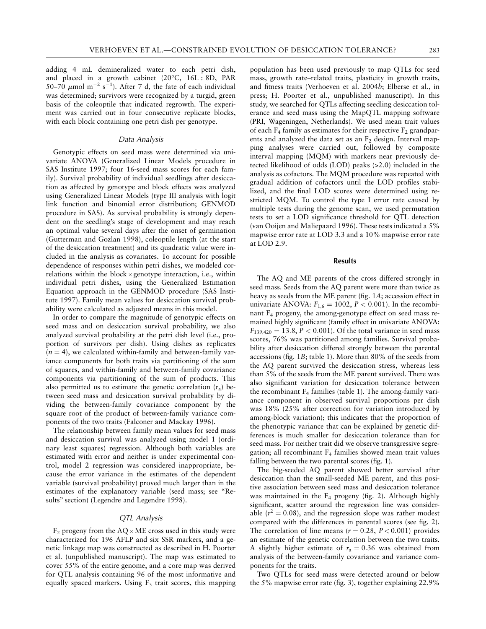adding 4 mL demineralized water to each petri dish, and placed in a growth cabinet (20°C, 16L:8D, PAR 50–70  $\mu$ mol m<sup>-2</sup> s<sup>-1</sup>). After 7 d, the fate of each individual was determined; survivors were recognized by a turgid, green basis of the coleoptile that indicated regrowth. The experiment was carried out in four consecutive replicate blocks, with each block containing one petri dish per genotype.

# Data Analysis

Genotypic effects on seed mass were determined via univariate ANOVA (Generalized Linear Models procedure in SAS Institute 1997; four 16-seed mass scores for each family). Survival probability of individual seedlings after desiccation as affected by genotype and block effects was analyzed using Generalized Linear Models (type III analysis with logit link function and binomial error distribution; GENMOD procedure in SAS). As survival probability is strongly dependent on the seedling's stage of development and may reach an optimal value several days after the onset of germination (Gutterman and Gozlan 1998), coleoptile length (at the start of the desiccation treatment) and its quadratic value were included in the analysis as covariates. To account for possible dependence of responses within petri dishes, we modeled correlations within the block  $\times$  genotype interaction, i.e., within individual petri dishes, using the Generalized Estimation Equation approach in the GENMOD procedure (SAS Institute 1997). Family mean values for desiccation survival probability were calculated as adjusted means in this model.

In order to compare the magnitude of genotypic effects on seed mass and on desiccation survival probability, we also analyzed survival probability at the petri dish level (i.e., proportion of survivors per dish). Using dishes as replicates  $(n = 4)$ , we calculated within-family and between-family variance components for both traits via partitioning of the sum of squares, and within-family and between-family covariance components via partitioning of the sum of products. This also permitted us to estimate the genetic correlation  $(r_a)$  between seed mass and desiccation survival probability by dividing the between-family covariance component by the square root of the product of between-family variance components of the two traits (Falconer and Mackay 1996).

The relationship between family mean values for seed mass and desiccation survival was analyzed using model 1 (ordinary least squares) regression. Although both variables are estimated with error and neither is under experimental control, model 2 regression was considered inappropriate, because the error variance in the estimates of the dependent variable (survival probability) proved much larger than in the estimates of the explanatory variable (seed mass; see ''Results'' section) (Legendre and Legendre 1998).

### QTL Analysis

 $F_2$  progeny from the AQ  $\times$  ME cross used in this study were characterized for 196 AFLP and six SSR markers, and a genetic linkage map was constructed as described in H. Poorter et al. (unpublished manuscript). The map was estimated to cover 55% of the entire genome, and a core map was derived for QTL analysis containing 96 of the most informative and equally spaced markers. Using  $F_3$  trait scores, this mapping population has been used previously to map QTLs for seed mass, growth rate–related traits, plasticity in growth traits, and fitness traits (Verhoeven et al. 2004b; Elberse et al., in press; H. Poorter et al., unpublished manuscript). In this study, we searched for QTLs affecting seedling desiccation tolerance and seed mass using the MapQTL mapping software (PRI, Wageningen, Netherlands). We used mean trait values of each  $F_4$  family as estimates for their respective  $F_2$  grandparents and analyzed the data set as an  $F_2$  design. Interval mapping analyses were carried out, followed by composite interval mapping (MQM) with markers near previously detected likelihood of odds (LOD) peaks (>2.0) included in the analysis as cofactors. The MQM procedure was repeated with gradual addition of cofactors until the LOD profiles stabilized, and the final LOD scores were determined using restricted MQM. To control the type I error rate caused by multiple tests during the genome scan, we used permutation tests to set a LOD significance threshold for QTL detection (van Ooijen and Maliepaard 1996). These tests indicated a 5% mapwise error rate at LOD 3.3 and a 10% mapwise error rate at LOD 2.9.

## **Results**

The AQ and ME parents of the cross differed strongly in seed mass. Seeds from the AQ parent were more than twice as heavy as seeds from the ME parent (fig. 1A; accession effect in univariate ANOVA:  $F_{1,6} = 1002$ ,  $P < 0.001$ ). In the recombinant F4 progeny, the among-genotype effect on seed mass remained highly significant (family effect in univariate ANOVA:  $F_{139,420} = 13.8, P < 0.001$ ). Of the total variance in seed mass scores, 76% was partitioned among families. Survival probability after desiccation differed strongly between the parental accessions (fig. 1B; table 1). More than 80% of the seeds from the AQ parent survived the desiccation stress, whereas less than 5% of the seeds from the ME parent survived. There was also significant variation for desiccation tolerance between the recombinant  $F_4$  families (table 1). The among-family variance component in observed survival proportions per dish was 18% (25% after correction for variation introduced by among-block variation); this indicates that the proportion of the phenotypic variance that can be explained by genetic differences is much smaller for desiccation tolerance than for seed mass. For neither trait did we observe transgressive segregation; all recombinant  $F_4$  families showed mean trait values falling between the two parental scores (fig. 1).

The big-seeded AQ parent showed better survival after desiccation than the small-seeded ME parent, and this positive association between seed mass and desiccation tolerance was maintained in the  $F_4$  progeny (fig. 2). Although highly significant, scatter around the regression line was considerable ( $r^2 = 0.08$ ), and the regression slope was rather modest compared with the differences in parental scores (see fig. 2). The correlation of line means ( $r = 0.28$ ,  $P < 0.001$ ) provides an estimate of the genetic correlation between the two traits. A slightly higher estimate of  $r_a = 0.36$  was obtained from analysis of the between-family covariance and variance components for the traits.

Two QTLs for seed mass were detected around or below the 5% mapwise error rate (fig. 3), together explaining 22.9%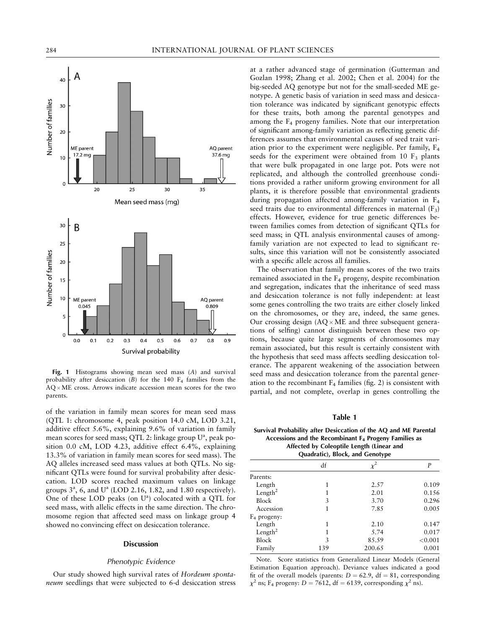

Fig. 1 Histograms showing mean seed mass (A) and survival probability after desiccation  $(B)$  for the 140  $F_4$  families from the  $AQ \times ME$  cross. Arrows indicate accession mean scores for the two parents.

of the variation in family mean scores for mean seed mass (QTL 1: chromosome 4, peak position 14.0 cM, LOD 3.21, additive effect 5.6%, explaining 9.6% of variation in family mean scores for seed mass; QTL 2: linkage group U<sup>a</sup>, peak position 0.0 cM, LOD 4.23, additive effect 6.4%, explaining 13.3% of variation in family mean scores for seed mass). The AQ alleles increased seed mass values at both QTLs. No significant QTLs were found for survival probability after desiccation. LOD scores reached maximum values on linkage groups  $3^{\text{a}}$ , 6, and U<sup>a</sup> (LOD 2.16, 1.82, and 1.80 respectively). One of these LOD peaks (on U<sup>a</sup>) colocated with a QTL for seed mass, with allelic effects in the same direction. The chromosome region that affected seed mass on linkage group 4 showed no convincing effect on desiccation tolerance.

#### Discussion

#### Phenotypic Evidence

Our study showed high survival rates of Hordeum spontaneum seedlings that were subjected to 6-d desiccation stress at a rather advanced stage of germination (Gutterman and Gozlan 1998; Zhang et al. 2002; Chen et al. 2004) for the big-seeded AQ genotype but not for the small-seeded ME genotype. A genetic basis of variation in seed mass and desiccation tolerance was indicated by significant genotypic effects for these traits, both among the parental genotypes and among the F4 progeny families. Note that our interpretation of significant among-family variation as reflecting genetic differences assumes that environmental causes of seed trait variation prior to the experiment were negligible. Per family, F4 seeds for the experiment were obtained from  $10 F<sub>3</sub>$  plants that were bulk propagated in one large pot. Pots were not replicated, and although the controlled greenhouse conditions provided a rather uniform growing environment for all plants, it is therefore possible that environmental gradients during propagation affected among-family variation in F4 seed traits due to environmental differences in maternal  $(F_3)$ effects. However, evidence for true genetic differences between families comes from detection of significant QTLs for seed mass; in QTL analysis environmental causes of amongfamily variation are not expected to lead to significant results, since this variation will not be consistently associated with a specific allele across all families.

The observation that family mean scores of the two traits remained associated in the F4 progeny, despite recombination and segregation, indicates that the inheritance of seed mass and desiccation tolerance is not fully independent: at least some genes controlling the two traits are either closely linked on the chromosomes, or they are, indeed, the same genes. Our crossing design  $(AQ \times ME$  and three subsequent generations of selfing) cannot distinguish between these two options, because quite large segments of chromosomes may remain associated, but this result is certainly consistent with the hypothesis that seed mass affects seedling desiccation tolerance. The apparent weakening of the association between seed mass and desiccation tolerance from the parental generation to the recombinant  $F_4$  families (fig. 2) is consistent with partial, and not complete, overlap in genes controlling the

# Table 1

#### Survival Probability after Desiccation of the AQ and ME Parental Accessions and the Recombinant  $F_4$  Progeny Families as Affected by Coleoptile Length (Linear and Quadratic), Block, and Genotype

| Quadratic), Diock, and Genotype |     |        |         |
|---------------------------------|-----|--------|---------|
|                                 | df  |        | P       |
| Parents:                        |     |        |         |
| Length                          |     | 2.57   | 0.109   |
| Length <sup>2</sup>             | 1   | 2.01   | 0.156   |
| Block                           | 3   | 3.70   | 0.296   |
| Accession                       | 1   | 7.85   | 0.005   |
| $F_4$ progeny:                  |     |        |         |
| Length                          |     | 2.10   | 0.147   |
| Length <sup>2</sup>             |     | 5.74   | 0.017   |
| Block                           | 3   | 85.59  | < 0.001 |
| Family                          | 139 | 200.65 | 0.001   |

Note. Score statistics from Generalized Linear Models (General Estimation Equation approach). Deviance values indicated a good fit of the overall models (parents:  $D = 62.9$ , df = 81, corresponding  $\chi^2$  ns; F<sub>4</sub> progeny: D = 7612, df = 6139, corresponding  $\chi^2$  ns).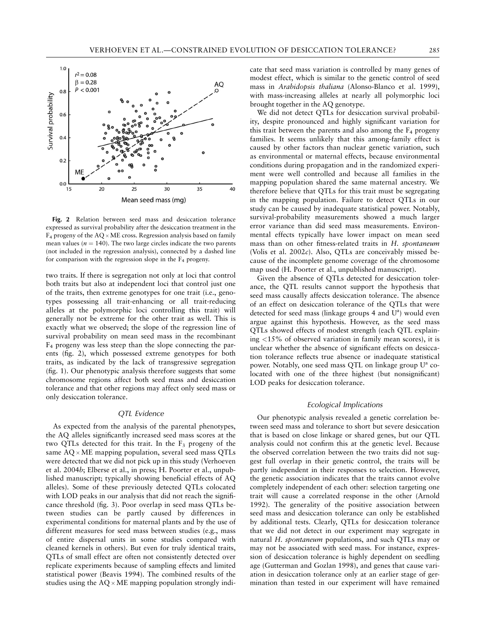

Fig. 2 Relation between seed mass and desiccation tolerance expressed as survival probability after the desiccation treatment in the  $F_4$  progeny of the AQ  $\times$  ME cross. Regression analysis based on family mean values ( $n = 140$ ). The two large circles indicate the two parents (not included in the regression analysis), connected by a dashed line for comparison with the regression slope in the  $F_4$  progeny.

two traits. If there is segregation not only at loci that control both traits but also at independent loci that control just one of the traits, then extreme genotypes for one trait (i.e., genotypes possessing all trait-enhancing or all trait-reducing alleles at the polymorphic loci controlling this trait) will generally not be extreme for the other trait as well. This is exactly what we observed; the slope of the regression line of survival probability on mean seed mass in the recombinant F4 progeny was less steep than the slope connecting the parents (fig. 2), which possessed extreme genotypes for both traits, as indicated by the lack of transgressive segregation (fig. 1). Our phenotypic analysis therefore suggests that some chromosome regions affect both seed mass and desiccation tolerance and that other regions may affect only seed mass or only desiccation tolerance.

## QTL Evidence

As expected from the analysis of the parental phenotypes, the AQ alleles significantly increased seed mass scores at the two QTLs detected for this trait. In the  $F_3$  progeny of the same  $AQ \times ME$  mapping population, several seed mass QTLs were detected that we did not pick up in this study (Verhoeven et al. 2004b; Elberse et al., in press; H. Poorter et al., unpublished manuscript; typically showing beneficial effects of AQ alleles). Some of these previously detected QTLs colocated with LOD peaks in our analysis that did not reach the significance threshold (fig. 3). Poor overlap in seed mass QTLs between studies can be partly caused by differences in experimental conditions for maternal plants and by the use of different measures for seed mass between studies (e.g., mass of entire dispersal units in some studies compared with cleaned kernels in others). But even for truly identical traits, QTLs of small effect are often not consistently detected over replicate experiments because of sampling effects and limited statistical power (Beavis 1994). The combined results of the studies using the  $AQ \times ME$  mapping population strongly indicate that seed mass variation is controlled by many genes of modest effect, which is similar to the genetic control of seed mass in Arabidopsis thaliana (Alonso-Blanco et al. 1999), with mass-increasing alleles at nearly all polymorphic loci brought together in the AQ genotype.

We did not detect QTLs for desiccation survival probability, despite pronounced and highly significant variation for this trait between the parents and also among the F4 progeny families. It seems unlikely that this among-family effect is caused by other factors than nuclear genetic variation, such as environmental or maternal effects, because environmental conditions during propagation and in the randomized experiment were well controlled and because all families in the mapping population shared the same maternal ancestry. We therefore believe that QTLs for this trait must be segregating in the mapping population. Failure to detect QTLs in our study can be caused by inadequate statistical power. Notably, survival-probability measurements showed a much larger error variance than did seed mass measurements. Environmental effects typically have lower impact on mean seed mass than on other fitness-related traits in H. spontaneum (Volis et al. 2002c). Also, QTLs are conceivably missed because of the incomplete genome coverage of the chromosome map used (H. Poorter et al., unpublished manuscript).

Given the absence of QTLs detected for desiccation tolerance, the QTL results cannot support the hypothesis that seed mass causally affects desiccation tolerance. The absence of an effect on desiccation tolerance of the QTLs that were detected for seed mass (linkage groups 4 and  $U^a$ ) would even argue against this hypothesis. However, as the seed mass QTLs showed effects of modest strength (each QTL explaining <15% of observed variation in family mean scores), it is unclear whether the absence of significant effects on desiccation tolerance reflects true absence or inadequate statistical power. Notably, one seed mass QTL on linkage group U<sup>a</sup> colocated with one of the three highest (but nonsignificant) LOD peaks for desiccation tolerance.

## Ecological Implications

Our phenotypic analysis revealed a genetic correlation between seed mass and tolerance to short but severe desiccation that is based on close linkage or shared genes, but our QTL analysis could not confirm this at the genetic level. Because the observed correlation between the two traits did not suggest full overlap in their genetic control, the traits will be partly independent in their responses to selection. However, the genetic association indicates that the traits cannot evolve completely independent of each other: selection targeting one trait will cause a correlated response in the other (Arnold 1992). The generality of the positive association between seed mass and desiccation tolerance can only be established by additional tests. Clearly, QTLs for desiccation tolerance that we did not detect in our experiment may segregate in natural H. spontaneum populations, and such QTLs may or may not be associated with seed mass. For instance, expression of desiccation tolerance is highly dependent on seedling age (Gutterman and Gozlan 1998), and genes that cause variation in desiccation tolerance only at an earlier stage of germination than tested in our experiment will have remained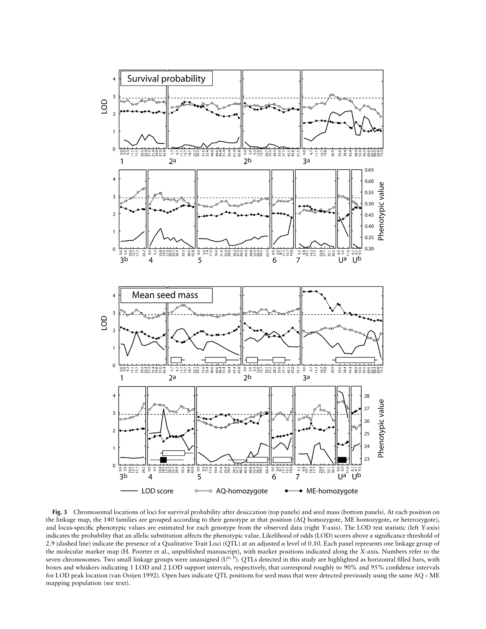

Fig. 3 Chromosomal locations of loci for survival probability after desiccation (top panels) and seed mass (bottom panels). At each position on the linkage map, the 140 families are grouped according to their genotype at that position (AQ homozygote, ME homozygote, or heterozygote), and locus-specific phenotypic values are estimated for each genotype from the observed data (right Y-axis). The LOD test statistic (left Y-axis) indicates the probability that an allelic substitution affects the phenotypic value. Likelihood of odds (LOD) scores above a significance threshold of 2.9 (dashed line) indicate the presence of a Qualitative Trait Loci (QTL) at an adjusted  $\alpha$  level of 0.10. Each panel represents one linkage group of the molecular marker map (H. Poorter et al., unpublished manuscript), with marker positions indicated along the X-axis. Numbers refer to the seven chromosomes. Two small linkage groups were unassigned (U<sup>a, b</sup>). QTLs detected in this study are highlighted as horizontal filled bars, with boxes and whiskers indicating 1 LOD and 2 LOD support intervals, respectively, that correspond roughly to 90% and 95% confidence intervals for LOD peak location (van Ooijen 1992). Open bars indicate QTL positions for seed mass that were detected previously using the same  $AQ \times ME$ mapping population (see text).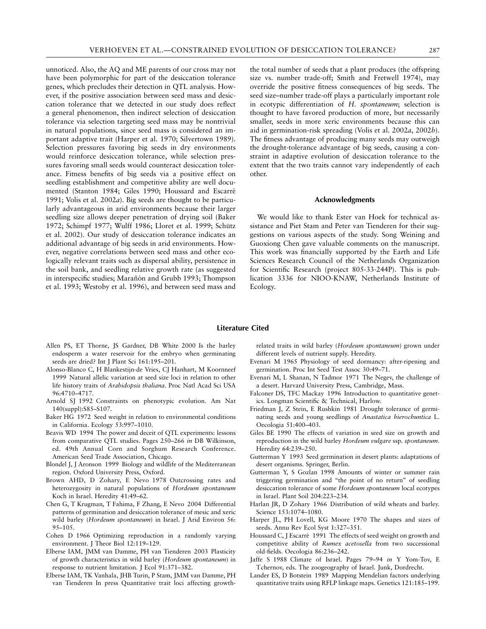unnoticed. Also, the AQ and ME parents of our cross may not have been polymorphic for part of the desiccation tolerance genes, which precludes their detection in QTL analysis. However, if the positive association between seed mass and desiccation tolerance that we detected in our study does reflect a general phenomenon, then indirect selection of desiccation tolerance via selection targeting seed mass may be nontrivial in natural populations, since seed mass is considered an important adaptive trait (Harper et al. 1970; Silvertown 1989). Selection pressures favoring big seeds in dry environments would reinforce desiccation tolerance, while selection pressures favoring small seeds would counteract desiccation tolerance. Fitness benefits of big seeds via a positive effect on seedling establishment and competitive ability are well documented (Stanton 1984; Giles 1990; Houssard and Escarré 1991; Volis et al. 2002a). Big seeds are thought to be particularly advantageous in arid environments because their larger seedling size allows deeper penetration of drying soil (Baker 1972; Schimpf 1977; Wulff 1986; Lloret et al. 1999; Schütz et al. 2002). Our study of desiccation tolerance indicates an additional advantage of big seeds in arid environments. However, negative correlations between seed mass and other ecologically relevant traits such as dispersal ability, persistence in the soil bank, and seedling relative growth rate (as suggested in interspecific studies; Marañón and Grubb 1993; Thompson et al. 1993; Westoby et al. 1996), and between seed mass and the total number of seeds that a plant produces (the offspring size vs. number trade-off; Smith and Fretwell 1974), may override the positive fitness consequences of big seeds. The seed size–number trade-off plays a particularly important role in ecotypic differentiation of H. spontaneum; selection is thought to have favored production of more, but necessarily smaller, seeds in more xeric environments because this can aid in germination-risk spreading (Volis et al. 2002a, 2002b). The fitness advantage of producing many seeds may outweigh the drought-tolerance advantage of big seeds, causing a constraint in adaptive evolution of desiccation tolerance to the extent that the two traits cannot vary independently of each other.

#### Acknowledgments

We would like to thank Ester van Hoek for technical assistance and Piet Stam and Peter van Tienderen for their suggestions on various aspects of the study. Song Weining and Guoxiong Chen gave valuable comments on the manuscript. This work was financially supported by the Earth and Life Sciences Research Council of the Netherlands Organization for Scientific Research (project 805-33-244P). This is publication 3336 for NIOO-KNAW, Netherlands Institute of Ecology.

#### Literature Cited

- Allen PS, ET Thorne, JS Gardner, DB White 2000 Is the barley endosperm a water reservoir for the embryo when germinating seeds are dried? Int J Plant Sci 161:195–201.
- Alonso-Blanco C, H Blankestijn-de Vries, CJ Hanhart, M Koornneef 1999 Natural allelic variation at seed size loci in relation to other life history traits of Arabidopsis thaliana. Proc Natl Acad Sci USA 96:4710–4717.
- Arnold SJ 1992 Constraints on phenotypic evolution. Am Nat 140(suppl):S85–S107.
- Baker HG 1972 Seed weight in relation to environmental conditions in California. Ecology 53:997–1010.
- Beavis WD 1994 The power and deceit of QTL experiments: lessons from comparative QTL studies. Pages 250–266 in DB Wilkinson, ed. 49th Annual Corn and Sorghum Research Conference. American Seed Trade Association, Chicago.
- Blondel J, J Aronson 1999 Biology and wildlife of the Mediterranean region. Oxford University Press, Oxford.
- Brown AHD, D Zohary, E Nevo 1978 Outcrossing rates and heterozygosity in natural populations of Hordeum spontaneum Koch in Israel. Heredity 41:49–62.
- Chen G, T Krugman, T Fahima, F Zhang, E Nevo 2004 Differential patterns of germination and desiccation tolerance of mesic and xeric wild barley (Hordeum spontaneum) in Israel. J Arid Environ 56: 95–105.
- Cohen D 1966 Optimizing reproduction in a randomly varying environment. J Theor Biol 12:119–129.
- Elberse IAM, JMM van Damme, PH van Tienderen 2003 Plasticity of growth characteristics in wild barley (Hordeum spontaneum) in response to nutrient limitation. J Ecol 91:371–382.
- Elberse IAM, TK Vanhala, JHB Turin, P Stam, JMM van Damme, PH van Tienderen In press Quantitative trait loci affecting growth-

related traits in wild barley (Hordeum spontaneum) grown under different levels of nutrient supply. Heredity.

- Evenari M 1965 Physiology of seed dormancy: after-ripening and germination. Proc Int Seed Test Assoc 30:49–71.
- Evenari M, L Shanan, N Tadmor 1971 The Negev, the challenge of a desert. Harvard University Press, Cambridge, Mass.
- Falconer DS, TFC Mackay 1996 Introduction to quantitative genetics. Longman Scientific & Technical, Harlow.
- Friedman J, Z Stein, E Rushkin 1981 Drought tolerance of germinating seeds and young seedlings of Anastatica hierochuntica L. Oecologia 51:400–403.
- Giles BE 1990 The effects of variation in seed size on growth and reproduction in the wild barley Hordeum vulgare ssp. spontaneum. Heredity 64:239–250.
- Gutterman Y 1993 Seed germination in desert plants: adaptations of desert organisms. Springer, Berlin.
- Gutterman Y, S Gozlan 1998 Amounts of winter or summer rain triggering germination and ''the point of no return'' of seedling desiccation tolerance of some Hordeum spontaneum local ecotypes in Israel. Plant Soil 204:223–234.
- Harlan JR, D Zohary 1966 Distribution of wild wheats and barley. Science 153:1074–1080.
- Harper JL, PH Lovell, KG Moore 1970 The shapes and sizes of seeds. Annu Rev Ecol Syst 1:327–351.
- Houssard C, J Escarré 1991 The effects of seed weight on growth and competitive ability of Rumex acetosella from two successional old-fields. Oecologia 86:236–242.
- Jaffe S 1988 Climate of Israel. Pages 79–94 in Y Yom-Tov, E Tchernov, eds. The zoogeography of Israel. Junk, Dordrecht.
- Lander ES, D Botstein 1989 Mapping Mendelian factors underlying quantitative traits using RFLP linkage maps. Genetics 121:185–199.